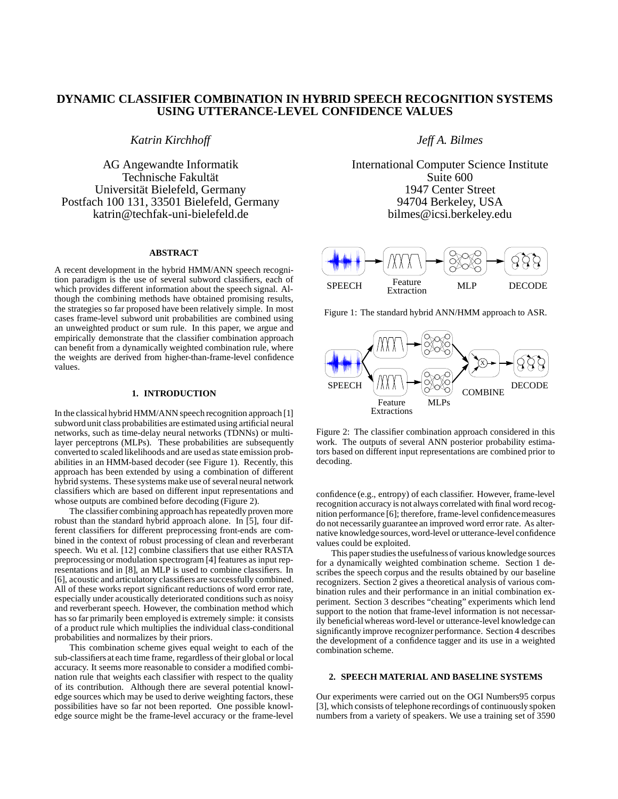# **DYNAMIC CLASSIFIER COMBINATION IN HYBRID SPEECH RECOGNITION SYSTEMS USING UTTERANCE-LEVEL CONFIDENCE VALUES**

*Katrin Kirchhoff*

AG Angewandte Informatik Technische Fakultät Universität Bielefeld, Germany Postfach 100 131, 33501 Bielefeld, Germany katrin@techfak-uni-bielefeld.de

## **ABSTRACT**

A recent development in the hybrid HMM/ANN speech recognition paradigm is the use of several subword classifiers, each of which provides different information about the speech signal. Although the combining methods have obtained promising results, the strategies so far proposed have been relatively simple. In most cases frame-level subword unit probabilities are combined using an unweighted product or sum rule. In this paper, we argue and empirically demonstrate that the classifier combination approach can benefit from a dynamically weighted combination rule, where the weights are derived from higher-than-frame-level confidence values.

# **1. INTRODUCTION**

In the classical hybrid HMM/ANN speech recognition approach [1] subword unit class probabilities are estimated using artificial neural networks, such as time-delay neural networks (TDNNs) or multilayer perceptrons (MLPs). These probabilities are subsequently converted to scaled likelihoods and are used as state emission probabilities in an HMM-based decoder (see Figure 1). Recently, this approach has been extended by using a combination of different hybrid systems. These systems make use of several neural network classifiers which are based on different input representations and whose outputs are combined before decoding (Figure 2).

The classifier combining approach has repeatedly proven more robust than the standard hybrid approach alone. In [5], four different classifiers for different preprocessing front-ends are combined in the context of robust processing of clean and reverberant speech. Wu et al. [12] combine classifiers that use either RASTA preprocessing or modulation spectrogram [4] features as input representations and in [8], an MLP is used to combine classifiers. In [6], acoustic and articulatory classifiers are successfully combined. All of these works report significant reductions of word error rate, especially under acoustically deteriorated conditions such as noisy and reverberant speech. However, the combination method which has so far primarily been employed is extremely simple: it consists of a product rule which multiplies the individual class-conditional probabilities and normalizes by their priors.

This combination scheme gives equal weight to each of the sub-classifiers at each time frame, regardless of their global or local accuracy. It seems more reasonable to consider a modified combination rule that weights each classifier with respect to the quality of its contribution. Although there are several potential knowledge sources which may be used to derive weighting factors, these possibilities have so far not been reported. One possible knowledge source might be the frame-level accuracy or the frame-level *Jeff A. Bilmes*

International Computer Science Institute Suite 600 1947 Center Street 94704 Berkeley, USA bilmes@icsi.berkeley.edu



Figure 1: The standard hybrid ANN/HMM approach to ASR.



Figure 2: The classifier combination approach considered in this work. The outputs of several ANN posterior probability estimators based on different input representations are combined prior to decoding.

confidence (e.g., entropy) of each classifier. However, frame-level recognition accuracy is not always correlated with final word recognition performance [6]; therefore, frame-level confidencemeasures do not necessarily guarantee an improved word error rate. As alternative knowledgesources,word-level or utterance-level confidence values could be exploited.

This paper studies the usefulnessof various knowledge sources for a dynamically weighted combination scheme. Section 1 describes the speech corpus and the results obtained by our baseline recognizers. Section 2 gives a theoretical analysis of various combination rules and their performance in an initial combination experiment. Section 3 describes "cheating" experiments which lend support to the notion that frame-level information is not necessarily beneficial whereas word-level or utterance-level knowledge can significantly improve recognizer performance. Section 4 describes the development of a confidence tagger and its use in a weighted combination scheme.

# **2. SPEECH MATERIAL AND BASELINE SYSTEMS**

Our experiments were carried out on the OGI Numbers95 corpus [3], which consists of telephone recordings of continuously spoken numbers from a variety of speakers. We use a training set of 3590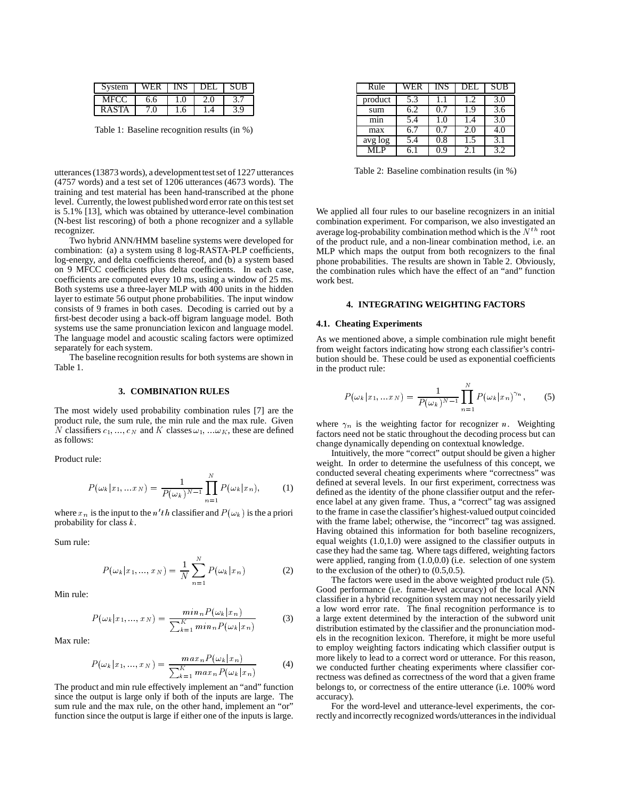| ystem        |     |  |          |
|--------------|-----|--|----------|
| MFCC         | ნ.ნ |  |          |
| <b>RASTA</b> |     |  | $\Omega$ |

Table 1: Baseline recognition results (in %)

utterances (13873 words), a development test set of 1227 utterances (4757 words) and a test set of 1206 utterances (4673 words). The training and test material has been hand-transcribed at the phone level. Currently, the lowest publishedword error rate on this test set is 5.1% [13], which was obtained by utterance-level combination (N-best list rescoring) of both a phone recognizer and a syllable recognizer.

Two hybrid ANN/HMM baseline systems were developed for combination: (a) a system using 8 log-RASTA-PLP coefficients, log-energy, and delta coefficients thereof, and (b) a system based on 9 MFCC coefficients plus delta coefficients. In each case, coefficients are computed every 10 ms, using a window of 25 ms. Both systems use a three-layer MLP with 400 units in the hidden layer to estimate 56 output phone probabilities. The input window consists of 9 frames in both cases. Decoding is carried out by a first-best decoder using a back-off bigram language model. Both systems use the same pronunciation lexicon and language model. The language model and acoustic scaling factors were optimized separately for each system.

The baseline recognition results for both systems are shown in Table 1.

### **3. COMBINATION RULES**

The most widely used probability combination rules [7] are the product rule, the sum rule, the min rule and the max rule. Given N classifiers  $c_1, ..., c_N$  and K classes  $\omega_1, ... \omega_K$ , these are defined as follows:

Product rule:

$$
P(\omega_k | x_1, ... x_N) = \frac{1}{P(\omega_k)^{N-1}} \prod_{n=1}^{N} P(\omega_k | x_n), \quad (1)
$$

where  $x_n$  is the input to the n'th classifier and  $P(\omega_k)$  is the a priori probability for class <sup>k</sup>.

Sum rule:

$$
P(\omega_k | x_1, ..., x_N) = \frac{1}{N} \sum_{n=1}^{N} P(\omega_k | x_n)
$$
 (2)

Min rule:

$$
P(\omega_k | x_1, ..., x_N) = \frac{\min_n P(\omega_k | x_n)}{\sum_{k=1}^K \min_n P(\omega_k | x_n)}
$$
(3)

Max rule:

$$
P(\omega_k | x_1, ..., x_N) = \frac{max_n P(\omega_k | x_n)}{\sum_{k=1}^{K} max_n P(\omega_k | x_n)}
$$
(4)

The product and min rule effectively implement an "and" function since the output is large only if both of the inputs are large. The sum rule and the max rule, on the other hand, implement an "or" function since the output is large if either one of the inputs is large.

| Rule    | WER | INS | DEL. | <b>SUB</b> |
|---------|-----|-----|------|------------|
| product | 5.3 | 1.1 | 1.2. | 3.0        |
| sum     | 6.2 | 0.7 | 1.9  | 3.6        |
| mın     | 5.4 | 1.0 | 1.4  | 3.0        |
| max     | 6.7 | 0.7 | 2.0  | 4.0        |
| avg log | 5.4 | 0.8 | 1.5  | 3.1        |
|         | 6.1 | 0.9 | 2.1  | 3.2        |

Table 2: Baseline combination results (in %)

We applied all four rules to our baseline recognizers in an initial combination experiment. For comparison, we also investigated an average log-probability combination method which is the  $N^{th}$  root of the product rule, and a non-linear combination method, i.e. an MLP which maps the output from both recognizers to the final phone probabilities. The results are shown in Table 2. Obviously, the combination rules which have the effect of an "and" function work best.

# **4. INTEGRATING WEIGHTING FACTORS**

#### **4.1. Cheating Experiments**

As we mentioned above, a simple combination rule might benefit from weight factors indicating how strong each classifier's contribution should be. These could be used as exponential coefficients in the product rule:

$$
P(\omega_k|x_1,...x_N) = \frac{1}{P(\omega_k)^{N-1}} \prod_{n=1}^N P(\omega_k|x_n)^{\gamma_n}, \qquad (5)
$$

where  $\gamma_n$  is the weighting factor for recognizer n. Weighting factors need not be static throughout the decoding process but can change dynamically depending on contextual knowledge.

Intuitively, the more "correct" output should be given a higher weight. In order to determine the usefulness of this concept, we conducted several cheating experiments where "correctness" was defined at several levels. In our first experiment, correctness was defined as the identity of the phone classifier output and the reference label at any given frame. Thus, a "correct" tag was assigned to the frame in case the classifier's highest-valued output coincided with the frame label; otherwise, the "incorrect" tag was assigned. Having obtained this information for both baseline recognizers, equal weights (1.0,1.0) were assigned to the classifier outputs in case they had the same tag. Where tags differed, weighting factors were applied, ranging from (1.0,0.0) (i.e. selection of one system to the exclusion of the other) to (0.5,0.5).

The factors were used in the above weighted product rule (5). Good performance (i.e. frame-level accuracy) of the local ANN classifier in a hybrid recognition system may not necessarily yield a low word error rate. The final recognition performance is to a large extent determined by the interaction of the subword unit distribution estimated by the classifier and the pronunciation models in the recognition lexicon. Therefore, it might be more useful to employ weighting factors indicating which classifier output is more likely to lead to a correct word or utterance. For this reason, we conducted further cheating experiments where classifier correctness was defined as correctness of the word that a given frame belongs to, or correctness of the entire utterance (i.e. 100% word accuracy).

For the word-level and utterance-level experiments, the correctly and incorrectly recognized words/utterances in the individual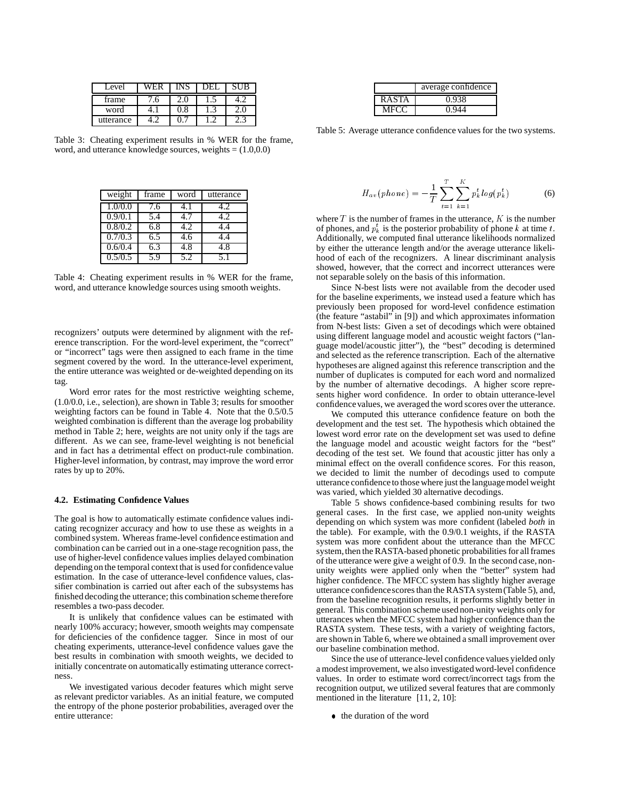| ∟evel     |   | JH.I | ΙR |
|-----------|---|------|----|
| frame     | n |      |    |
| word      |   |      |    |
| utterance |   |      |    |

Table 3: Cheating experiment results in % WER for the frame, word, and utterance knowledge sources, weights = (1.0,0.0)

| weight  | frame | word | utterance |
|---------|-------|------|-----------|
| 1.0/0.0 | 7.6   | 4. Ι | 4.2       |
| 0.9/0.1 | 5.4   | 4.7  | 4.2       |
| 0.8/0.2 | 6.8   | 4.2  | 4.4       |
| 0.7/0.3 | 6.5   | 4.6  | 14        |
| 0.6/0.4 | 6.3   | 4.8  | 4.8       |
| 0.5/0.5 | 5.9   | יר   | 51        |

Table 4: Cheating experiment results in % WER for the frame, word, and utterance knowledge sources using smooth weights.

recognizers' outputs were determined by alignment with the reference transcription. For the word-level experiment, the "correct" or "incorrect" tags were then assigned to each frame in the time segment covered by the word. In the utterance-level experiment, the entire utterance was weighted or de-weighted depending on its tag.

Word error rates for the most restrictive weighting scheme, (1.0/0.0, i.e., selection), are shown in Table 3; results for smoother weighting factors can be found in Table 4. Note that the 0.5/0.5 weighted combination is different than the average log probability method in Table 2; here, weights are not unity only if the tags are different. As we can see, frame-level weighting is not beneficial and in fact has a detrimental effect on product-rule combination. Higher-level information, by contrast, may improve the word error rates by up to 20%.

## **4.2. Estimating Confidence Values**

The goal is how to automatically estimate confidence values indicating recognizer accuracy and how to use these as weights in a combined system. Whereas frame-level confidence estimation and combination can be carried out in a one-stage recognition pass, the use of higher-level confidence values implies delayed combination depending on the temporal context that is used for confidencevalue estimation. In the case of utterance-level confidence values, classifier combination is carried out after each of the subsystems has finished decoding the utterance; this combination scheme therefore resembles a two-pass decoder.

It is unlikely that confidence values can be estimated with nearly 100% accuracy; however, smooth weights may compensate for deficiencies of the confidence tagger. Since in most of our cheating experiments, utterance-level confidence values gave the best results in combination with smooth weights, we decided to initially concentrate on automatically estimating utterance correctness.

We investigated various decoder features which might serve as relevant predictor variables. As an initial feature, we computed the entropy of the phone posterior probabilities, averaged over the entire utterance:

|       | average confidence |
|-------|--------------------|
| RASTA | 0.938              |
|       |                    |

Table 5: Average utterance confidence values for the two systems.

$$
H_{av}(phone) = -\frac{1}{T} \sum_{t=1}^{T} \sum_{k=1}^{K} p_k^t \log(p_k^t)
$$
 (6)

where  $T$  is the number of frames in the utterance,  $K$  is the number of phones, and  $p_k^t$  is the posterior probability of phone k at time t. Additionally, we computed final utterance likelihoods normalized by either the utterance length and/or the average utterance likelihood of each of the recognizers. A linear discriminant analysis showed, however, that the correct and incorrect utterances were not separable solely on the basis of this information.

Since N-best lists were not available from the decoder used for the baseline experiments, we instead used a feature which has previously been proposed for word-level confidence estimation (the feature "astabil" in [9]) and which approximates information from N-best lists: Given a set of decodings which were obtained using different language model and acoustic weight factors ("language model/acoustic jitter"), the "best" decoding is determined and selected as the reference transcription. Each of the alternative hypotheses are aligned against this reference transcription and the number of duplicates is computed for each word and normalized by the number of alternative decodings. A higher score represents higher word confidence. In order to obtain utterance-level confidence values, we averaged the word scores over the utterance.

We computed this utterance confidence feature on both the development and the test set. The hypothesis which obtained the lowest word error rate on the development set was used to define the language model and acoustic weight factors for the "best" decoding of the test set. We found that acoustic jitter has only a minimal effect on the overall confidence scores. For this reason, we decided to limit the number of decodings used to compute utterance confidenceto those where just the languagemodel weight was varied, which yielded 30 alternative decodings.

Table 5 shows confidence-based combining results for two general cases. In the first case, we applied non-unity weights depending on which system was more confident (labeled *both* in the table). For example, with the 0.9/0.1 weights, if the RASTA system was more confident about the utterance than the MFCC system, then the RASTA-based phonetic probabilities for all frames of the utterance were give a weight of 0.9. In the second case, nonunity weights were applied only when the "better" system had higher confidence. The MFCC system has slightly higher average utterance confidencescores than the RASTA system (Table 5), and, from the baseline recognition results, it performs slightly better in general. This combination scheme used non-unity weights only for utterances when the MFCC system had higher confidence than the RASTA system. These tests, with a variety of weighting factors, are shown in Table 6, where we obtained a small improvement over our baseline combination method.

Since the use of utterance-level confidence values yielded only a modest improvement, we also investigated word-level confidence values. In order to estimate word correct/incorrect tags from the recognition output, we utilized several features that are commonly mentioned in the literature [11, 2, 10]:

• the duration of the word